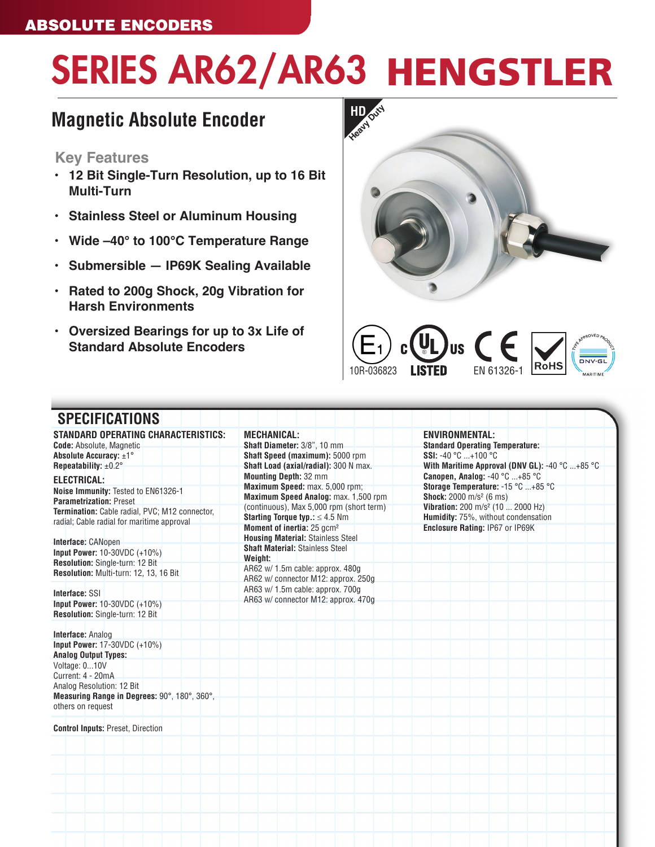# SERIES AR62/AR63 HENGSTLER

## **Magnetic Absolute Encoder**

### **Key Features**

- **• 12 Bit Single-Turn Resolution, up to 16 Bit Multi-Turn**
- **• Stainless Steel or Aluminum Housing**
- **• Wide –40° to 100°C Temperature Range**
- **• Submersible IP69K Sealing Available**
- **• Rated to 200g Shock, 20g Vibration for Harsh Environments**
- **• Oversized Bearings for up to 3x Life of Standard Absolute Encoders**





| <b>STANDARD OPERATING CHARACTERISTICS:</b>     | <b>MECHANICAL:</b>                         | <b>ENVIRONMENTAL:</b>                          |
|------------------------------------------------|--------------------------------------------|------------------------------------------------|
| <b>Code: Absolute, Magnetic</b>                | Shaft Diameter: 3/8", 10 mm                | <b>Standard Operating Temperature:</b>         |
| Absolute Accuracy: $\pm 1^{\circ}$             | Shaft Speed (maximum): 5000 rpm            | <b>SSI:</b> -40 °C $+100$ °C                   |
| Repeatability: $\pm 0.2^\circ$                 | Shaft Load (axial/radial): 300 N max.      | With Maritime Approval (DNV GL): -40 °C +85 °C |
| ELECTRICAL:                                    | <b>Mounting Depth: 32 mm</b>               | Canopen, Analog: $-40$ °C $+85$ °C             |
| Noise Immunity: Tested to EN61326-1            | Maximum Speed: max. 5,000 rpm;             | Storage Temperature: -15 °C +85 °C             |
| <b>Parametrization: Preset</b>                 | Maximum Speed Analog: max. 1,500 rpm       | <b>Shock:</b> 2000 m/s <sup>2</sup> (6 ms)     |
| Termination: Cable radial, PVC; M12 connector, | (continuous), Max 5,000 rpm (short term)   | Vibration: 200 m/s <sup>2</sup> (10  2000 Hz)  |
| radial; Cable radial for maritime approval     | <b>Starting Torque typ.:</b> $\leq 4.5$ Nm | Humidity: 75%, without condensation            |
|                                                | Moment of inertia: 25 gcm <sup>2</sup>     | Enclosure Rating: IP67 or IP69K                |
| Interface: CANopen                             | <b>Housing Material: Stainless Steel</b>   |                                                |
| Input Power: 10-30VDC (+10%)                   | <b>Shaft Material: Stainless Steel</b>     |                                                |
| Resolution: Single-turn: 12 Bit                | Weight:                                    |                                                |
| Resolution: Multi-turn: 12, 13, 16 Bit         | AR62 w/ 1.5m cable: approx. 480g           |                                                |
|                                                | AR62 w/ connector M12: approx. 250g        |                                                |
| Interface: SSI                                 | AR63 w/ 1.5m cable: approx. 700g           |                                                |
| Input Power: 10-30VDC (+10%)                   | AR63 w/ connector M12: approx. 470g        |                                                |
| Resolution: Single-turn: 12 Bit                |                                            |                                                |
|                                                |                                            |                                                |
| <b>Interface: Analog</b>                       |                                            |                                                |
| <b>Input Power: 17-30VDC (+10%)</b>            |                                            |                                                |
| <b>Analog Output Types:</b>                    |                                            |                                                |
| Voltage: 010V                                  |                                            |                                                |
| Current: 4 - 20mA                              |                                            |                                                |
| Analog Resolution: 12 Bit                      |                                            |                                                |
| Measuring Range in Degrees: 90°, 180°, 360°,   |                                            |                                                |
| others on request                              |                                            |                                                |
|                                                |                                            |                                                |
| <b>Control Inputs: Preset, Direction</b>       |                                            |                                                |
|                                                |                                            |                                                |
|                                                |                                            |                                                |
|                                                |                                            |                                                |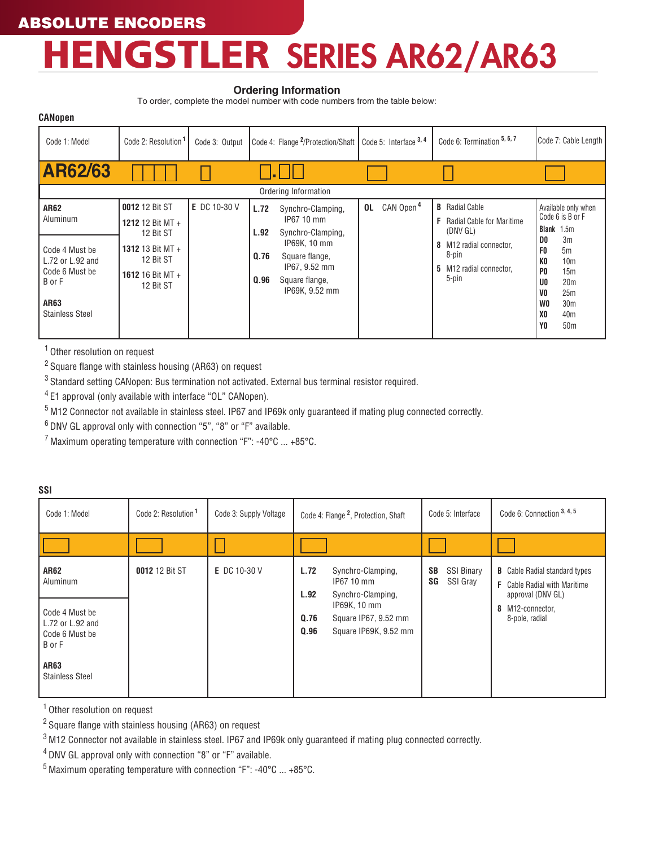## R SERIES AR62/AR63 HENGSTLE

#### **Ordering Information**

To order, complete the model number with code numbers from the table below:

| <b>CANopen</b>                                                                                                              |                                                                                                                          |                |                              |                                                                                                                                             |    |                       |                                                                                                                                                                      |                                                                                                                            |                                                                                                                                                                                                   |
|-----------------------------------------------------------------------------------------------------------------------------|--------------------------------------------------------------------------------------------------------------------------|----------------|------------------------------|---------------------------------------------------------------------------------------------------------------------------------------------|----|-----------------------|----------------------------------------------------------------------------------------------------------------------------------------------------------------------|----------------------------------------------------------------------------------------------------------------------------|---------------------------------------------------------------------------------------------------------------------------------------------------------------------------------------------------|
| Code 1: Model                                                                                                               | Code 2: Resolution <sup>1</sup>                                                                                          | Code 3: Output |                              | Code 4: Flange <sup>2</sup> /Protection/Shaft   Code 5: Interface <sup>3, 4</sup>                                                           |    |                       | Code 6: Termination 5, 6, 7                                                                                                                                          |                                                                                                                            | Code 7: Cable Length                                                                                                                                                                              |
| <b>AR62/63</b>                                                                                                              |                                                                                                                          |                |                              |                                                                                                                                             |    |                       |                                                                                                                                                                      |                                                                                                                            |                                                                                                                                                                                                   |
|                                                                                                                             |                                                                                                                          |                |                              | Ordering Information                                                                                                                        |    |                       |                                                                                                                                                                      |                                                                                                                            |                                                                                                                                                                                                   |
| <b>AR62</b><br>Aluminum<br>Code 4 Must be<br>L.72 or L.92 and<br>Code 6 Must be<br>B or F<br>AR63<br><b>Stainless Steel</b> | <b>0012 12 Bit ST</b><br>1212 12 Bit MT +<br>12 Bit ST<br>1312 13 Bit MT +<br>12 Bit ST<br>1612 16 Bit MT +<br>12 Bit ST | E DC 10-30 V   | L.72<br>L.92<br>Q.76<br>0.96 | Synchro-Clamping,<br>IP67 10 mm<br>Synchro-Clamping,<br>IP69K, 10 mm<br>Square flange,<br>IP67, 9.52 mm<br>Square flange,<br>IP69K, 9.52 mm | 0L | CAN Open <sup>4</sup> | <b>B</b> Radial Cable<br><b>Radial Cable for Maritime</b><br>F<br>(DNV GL)<br>M <sub>12</sub> radial connector.<br>8<br>8-pin<br>M12 radial connector,<br>5<br>5-pin | D <sub>0</sub><br>F0<br>K0<br>P <sub>0</sub><br>U <sub>0</sub><br>V <sub>0</sub><br>W <sub>0</sub><br>X0<br>Y <sub>0</sub> | Available only when<br>Code 6 is B or F<br><b>Blank</b> 1.5m<br>3 <sub>m</sub><br>5m<br>10 <sub>m</sub><br>15m<br>20 <sub>m</sub><br>25m<br>30 <sub>m</sub><br>40 <sub>m</sub><br>50 <sub>m</sub> |

1 Other resolution on request

2 Square flange with stainless housing (AR63) on request

<sup>3</sup> Standard setting CANopen: Bus termination not activated. External bus terminal resistor required.

4 E1 approval (only available with interface "OL" CANopen).

5 M12 Connector not available in stainless steel. IP67 and IP69k only guaranteed if mating plug connected correctly.

6 DNV GL approval only with connection "5", "8" or "F" available.

 $7$  Maximum operating temperature with connection "F": -40°C  $\ldots$  +85°C.

| SSI                                                                                                                         |                                 |                        |                              |                                                                                                                       |                                                  |                                                                                                                                        |  |  |
|-----------------------------------------------------------------------------------------------------------------------------|---------------------------------|------------------------|------------------------------|-----------------------------------------------------------------------------------------------------------------------|--------------------------------------------------|----------------------------------------------------------------------------------------------------------------------------------------|--|--|
| Code 1: Model                                                                                                               | Code 2: Resolution <sup>1</sup> | Code 3: Supply Voltage |                              | Code 4: Flange <sup>2</sup> , Protection, Shaft                                                                       | Code 5: Interface                                | Code 6: Connection 3, 4, 5                                                                                                             |  |  |
|                                                                                                                             |                                 |                        |                              |                                                                                                                       |                                                  |                                                                                                                                        |  |  |
| <b>AR62</b><br>Aluminum<br>Code 4 Must be<br>L.72 or L.92 and<br>l Code 6 Must be<br>BorF<br>AR63<br><b>Stainless Steel</b> | 0012 12 Bit ST                  | E DC 10-30 V           | L.72<br>L.92<br>0.76<br>0.96 | Synchro-Clamping,<br>IP67 10 mm<br>Synchro-Clamping,<br>IP69K, 10 mm<br>Square IP67, 9.52 mm<br>Square IP69K, 9.52 mm | <b>SSI Binary</b><br><b>SB</b><br>SG<br>SSI Gray | <b>B</b> Cable Radial standard types<br><b>F</b> Cable Radial with Maritime<br>approval (DNV GL)<br>8 M12-connector,<br>8-pole, radial |  |  |

1 Other resolution on request

2 Square flange with stainless housing (AR63) on request

<sup>3</sup> M12 Connector not available in stainless steel. IP67 and IP69k only guaranteed if mating plug connected correctly.

4 DNV GL approval only with connection "8" or "F" available.

5 Maximum operating temperature with connection "F": -40°C ... +85°C.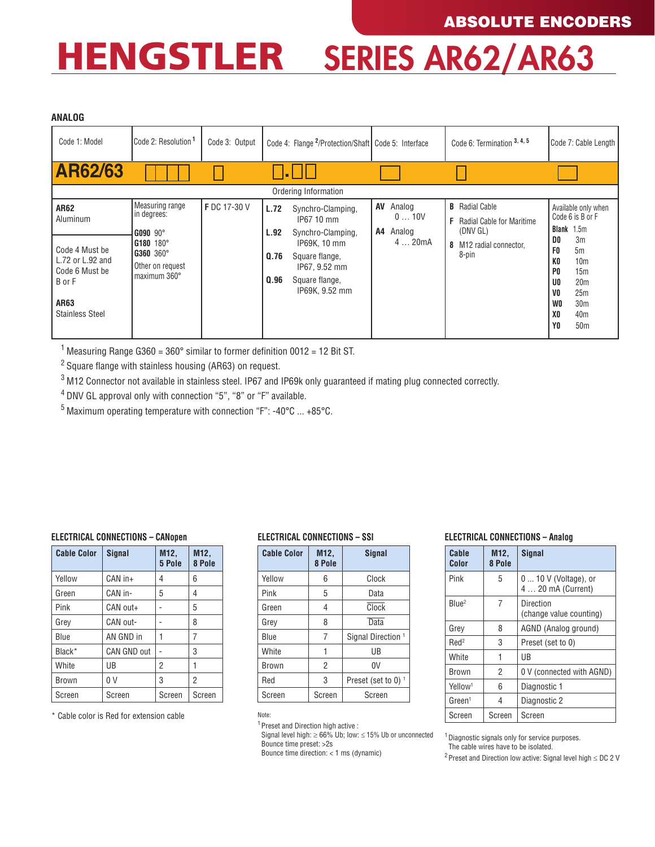## HENGSTLER SERIES AR62/AR63

#### **ANALOG**

| שטומות                                 |                                 |                |      |                                                                 |    |                |   |                                                           |                                  |                                         |
|----------------------------------------|---------------------------------|----------------|------|-----------------------------------------------------------------|----|----------------|---|-----------------------------------------------------------|----------------------------------|-----------------------------------------|
| Code 1: Model                          | Code 2: Resolution <sup>1</sup> | Code 3: Output |      | Code 4: Flange <sup>2</sup> /Protection/Shaft Code 5: Interface |    |                |   | Code 6: Termination 3, 4, 5                               |                                  | Code 7: Cable Length                    |
| <b>AR62/63</b>                         |                                 |                |      | Ordering Information                                            |    |                |   |                                                           |                                  |                                         |
|                                        | <b>Measuring range</b>          |                |      |                                                                 |    |                |   |                                                           |                                  |                                         |
| <b>AR62</b><br>Aluminum                | in degrees:                     | F DC 17-30 V   | L.72 | Synchro-Clamping,<br>IP67 10 mm                                 | AV | Analog<br>010V | F | <b>B</b> Radial Cable<br><b>Radial Cable for Maritime</b> |                                  | Available only when<br>Code 6 is B or F |
|                                        | G090 90°                        |                | L.92 | Synchro-Clamping,                                               | A4 | Analog         |   | (DNV GL)                                                  | Blank                            | 1.5m                                    |
| Code 4 Must be                         | G180 180°                       |                |      | IP69K, 10 mm                                                    |    | 420mA          |   | 8 M12 radial connector,                                   | D0<br>F <sub>0</sub>             | 3m<br>5m                                |
| $L.72$ or $L.92$ and<br>Code 6 Must be | G360 360°<br>Other on request   |                | 0.76 | Square flange,<br>IP67, 9.52 mm                                 |    |                |   | 8-pin                                                     | K <sub>0</sub><br>P <sub>0</sub> | 10 <sub>m</sub><br>15m                  |
| B or F                                 | maximum 360°                    |                | Q.96 | Square flange,                                                  |    |                |   |                                                           | U <sub>0</sub>                   | 20 <sub>m</sub>                         |
|                                        |                                 |                |      | IP69K, 9.52 mm                                                  |    |                |   |                                                           | V0                               | 25m                                     |
| AR63                                   |                                 |                |      |                                                                 |    |                |   |                                                           | W0                               | 30 <sub>m</sub>                         |
| <b>Stainless Steel</b>                 |                                 |                |      |                                                                 |    |                |   |                                                           | X0                               | 40 <sub>m</sub>                         |
|                                        |                                 |                |      |                                                                 |    |                |   |                                                           | Y0                               | 50 <sub>m</sub>                         |

<sup>1</sup> Measuring Range G360 = 360 $^{\circ}$  similar to former definition 0012 = 12 Bit ST.

2 Square flange with stainless housing (AR63) on request.

<sup>3</sup> M12 Connector not available in stainless steel. IP67 and IP69k only guaranteed if mating plug connected correctly.

4 DNV GL approval only with connection "5", "8" or "F" available.

5 Maximum operating temperature with connection "F": -40°C ... +85°C.

#### **ELECTRICAL CONNECTIONS – CANopen**

| <b>Cable Color</b> | <b>Signal</b>      | M <sub>12</sub> ,<br>5 Pole | M12,<br>8 Pole |  |  |
|--------------------|--------------------|-----------------------------|----------------|--|--|
| Yellow             | CAN in+            | 4                           | 6              |  |  |
| Green              | CAN in-            | 5                           | 4              |  |  |
| Pink               | CAN out+           |                             | 5              |  |  |
| Grey               | CAN out-           |                             | 8              |  |  |
| Blue               | AN GND in          |                             | 7              |  |  |
| Black*             | <b>CAN GND out</b> |                             | 3              |  |  |
| White              | UB                 | 2                           |                |  |  |
| <b>Brown</b>       | 0 <sup>V</sup>     | 3                           | 2              |  |  |
| Screen             | Screen             | Screen                      | Screen         |  |  |

\* Cable color is Red for extension cable

#### **ELECTRICAL CONNECTIONS – SSI**

| <b>Cable Color</b> | M12,<br>8 Pole | Signal                         |  |  |  |  |  |
|--------------------|----------------|--------------------------------|--|--|--|--|--|
| Yellow             | 6              | Clock                          |  |  |  |  |  |
| Pink               | 5              | Data                           |  |  |  |  |  |
| Green              | 4              | Clock                          |  |  |  |  |  |
| Grev               | 8              | Data                           |  |  |  |  |  |
| Blue               | $\overline{7}$ | Signal Direction <sup>1</sup>  |  |  |  |  |  |
| White              |                | UB                             |  |  |  |  |  |
| <b>Brown</b>       | $\overline{2}$ | 0V                             |  |  |  |  |  |
| Red                | 3              | Preset (set to 0) <sup>1</sup> |  |  |  |  |  |
| Screen             | Screen         | Screen                         |  |  |  |  |  |

#### **ELECTRICAL CONNECTIONS – Analog**

| 1111011E 001111E0 110110 11111101 |                |                                             |  |  |  |
|-----------------------------------|----------------|---------------------------------------------|--|--|--|
| Cable<br>Color                    | M12,<br>8 Pole | <b>Signal</b>                               |  |  |  |
| Pink                              | 5              | $010V$ (Voltage), or<br>4  20 mA (Current)  |  |  |  |
| Blue <sup>2</sup>                 | 7              | <b>Direction</b><br>(change value counting) |  |  |  |
| Grey                              | 8              | AGND (Analog ground)                        |  |  |  |
| Red <sup>2</sup>                  | 3              | Preset (set to 0)                           |  |  |  |
| White                             | 1              | UB                                          |  |  |  |
| Brown                             | 2              | 0 V (connected with AGND)                   |  |  |  |
| Yellow <sup>1</sup>               | 6              | Diagnostic 1                                |  |  |  |
| Green <sup>1</sup>                | 4              | Diagnostic 2                                |  |  |  |
| Screen                            | Screen         | Screen                                      |  |  |  |

Note:

1Preset and Direction high active :

Signal level high: ≥ 66% Ub; low: ≤ 15% Ub or unconnected

Bounce time preset: >2s

Bounce time direction: < 1 ms (dynamic)

<sup>1</sup> Diagnostic signals only for service purposes.

The cable wires have to be isolated.

<sup>2</sup> Preset and Direction low active: Signal level high  $\leq$  DC 2 V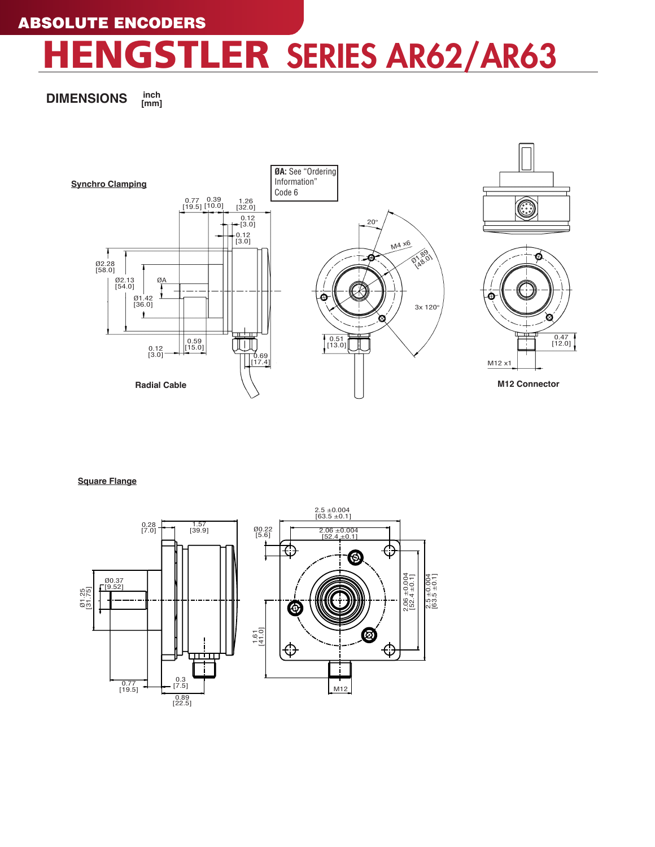# GSTLER SERIES AR62/AR63

**DIMENSIONS inch [mm]**



**Square Flange**